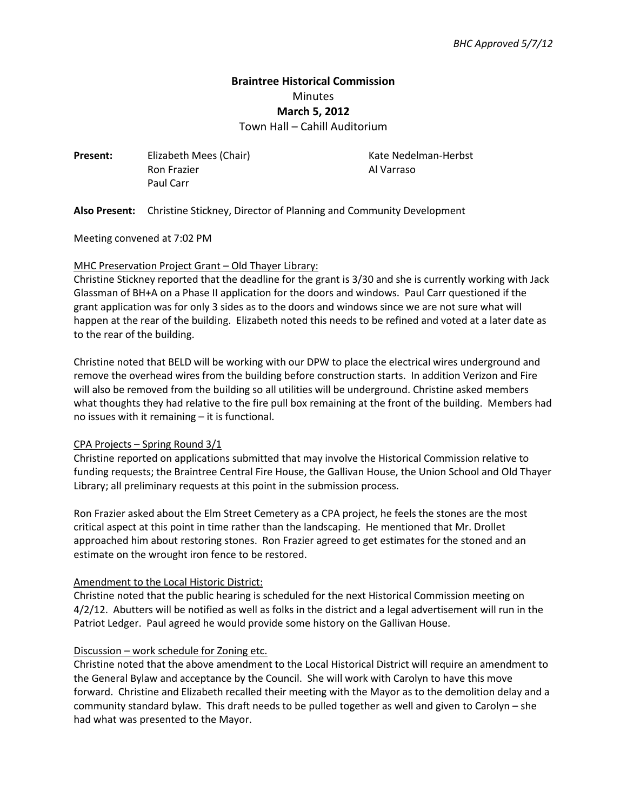# **Braintree Historical Commission**  Minutes **March 5, 2012**

Town Hall – Cahill Auditorium

**Present:** Elizabeth Mees (Chair) **Kate Nedelman-Herbst** Ron Frazier **Al Varraso** Paul Carr

**Also Present:** Christine Stickney, Director of Planning and Community Development

Meeting convened at 7:02 PM

#### MHC Preservation Project Grant – Old Thayer Library:

Christine Stickney reported that the deadline for the grant is 3/30 and she is currently working with Jack Glassman of BH+A on a Phase II application for the doors and windows. Paul Carr questioned if the grant application was for only 3 sides as to the doors and windows since we are not sure what will happen at the rear of the building. Elizabeth noted this needs to be refined and voted at a later date as to the rear of the building.

Christine noted that BELD will be working with our DPW to place the electrical wires underground and remove the overhead wires from the building before construction starts. In addition Verizon and Fire will also be removed from the building so all utilities will be underground. Christine asked members what thoughts they had relative to the fire pull box remaining at the front of the building. Members had no issues with it remaining – it is functional.

### CPA Projects – Spring Round 3/1

Christine reported on applications submitted that may involve the Historical Commission relative to funding requests; the Braintree Central Fire House, the Gallivan House, the Union School and Old Thayer Library; all preliminary requests at this point in the submission process.

Ron Frazier asked about the Elm Street Cemetery as a CPA project, he feels the stones are the most critical aspect at this point in time rather than the landscaping. He mentioned that Mr. Drollet approached him about restoring stones. Ron Frazier agreed to get estimates for the stoned and an estimate on the wrought iron fence to be restored.

#### Amendment to the Local Historic District:

Christine noted that the public hearing is scheduled for the next Historical Commission meeting on 4/2/12. Abutters will be notified as well as folks in the district and a legal advertisement will run in the Patriot Ledger. Paul agreed he would provide some history on the Gallivan House.

#### Discussion – work schedule for Zoning etc.

Christine noted that the above amendment to the Local Historical District will require an amendment to the General Bylaw and acceptance by the Council. She will work with Carolyn to have this move forward. Christine and Elizabeth recalled their meeting with the Mayor as to the demolition delay and a community standard bylaw. This draft needs to be pulled together as well and given to Carolyn – she had what was presented to the Mayor.